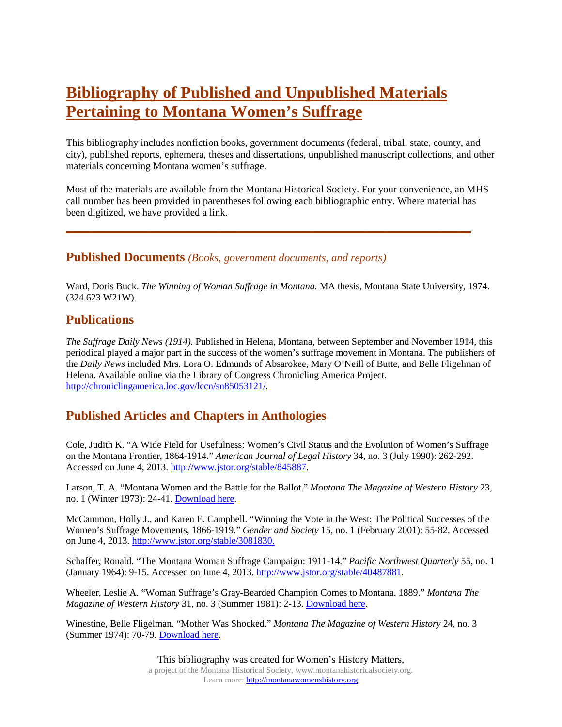# **Bibliography of Published and Unpublished Materials Pertaining to Montana Women's Suffrage**

This bibliography includes nonfiction books, government documents (federal, tribal, state, county, and city), published reports, ephemera, theses and dissertations, unpublished manuscript collections, and other materials concerning Montana women's suffrage.

Most of the materials are available from the Montana Historical Society. For your convenience, an MHS call number has been provided in parentheses following each bibliographic entry. Where material has been digitized, we have provided a link.

**\_\_\_\_\_\_\_\_\_\_\_\_\_\_\_\_\_\_\_\_\_\_\_\_\_\_\_\_\_\_\_\_\_\_\_\_\_\_\_\_\_\_\_\_\_\_\_\_\_\_\_\_\_\_\_\_\_\_\_\_\_\_\_**

## **Published Documents** *(Books, government documents, and reports)*

Ward, Doris Buck. *The Winning of Woman Suffrage in Montana.* MA thesis, Montana State University, 1974. (324.623 W21W).

## **Publications**

*The Suffrage Daily News (1914).* Published in Helena, Montana, between September and November 1914, this periodical played a major part in the success of the women's suffrage movement in Montana. The publishers of the *Daily News* included Mrs. Lora O. Edmunds of Absarokee, Mary O'Neill of Butte, and Belle Fligelman of Helena. Available online via the Library of Congress Chronicling America Project. [http://chroniclingamerica.loc.gov/lccn/sn85053121/.](http://chroniclingamerica.loc.gov/lccn/sn85053121/)

## **Published Articles and Chapters in Anthologies**

Cole, Judith K. "A Wide Field for Usefulness: Women's Civil Status and the Evolution of Women's Suffrage on the Montana Frontier, 1864-1914." *American Journal of Legal History* 34, no. 3 (July 1990): 262-292. Accessed on June 4, 2013. [http://www.jstor.org/stable/845887.](http://www.jstor.org/stable/845887)

Larson, T. A. "Montana Women and the Battle for the Ballot." *Montana The Magazine of Western History* 23, no. 1 (Winter 1973): 24-41[. Download here.](http://montanawomenshistory.org/wp-content/uploads/2013/11/Larson-T.A.-Montana-Women-and-the-Battle-for-the-Ballot.pdf)

McCammon, Holly J., and Karen E. Campbell. "Winning the Vote in the West: The Political Successes of the Women's Suffrage Movements, 1866-1919." *Gender and Society* 15, no. 1 (February 2001): 55-82. Accessed on June 4, 2013[. http://www.jstor.org/stable/3081830.](http://www.jstor.org/stable/3081830)

Schaffer, Ronald. "The Montana Woman Suffrage Campaign: 1911-14." *Pacific Northwest Quarterly* 55, no. 1 (January 1964): 9-15. Accessed on June 4, 2013. [http://www.jstor.org/stable/40487881.](http://www.jstor.org/stable/40487881)

Wheeler, Leslie A. "Woman Suffrage's Gray-Bearded Champion Comes to Montana, 1889." *Montana The Magazine of Western History* 31, no. 3 (Summer 1981): 2-13. [Download here.](http://montanawomenshistory.org/wp-content/uploads/2013/11/Wheeler-Leslie-A.-Woman-Suffrages-Gray-Bearded-Champion.pdf)

Winestine, Belle Fligelman. "Mother Was Shocked." *Montana The Magazine of Western History* 24, no. 3 (Summer 1974): 70-79. [Download here.](http://montanawomenshistory.org/wp-content/uploads/2013/11/Winestine-Belle-Fligelman-Mother-Was-Shocked.pdf)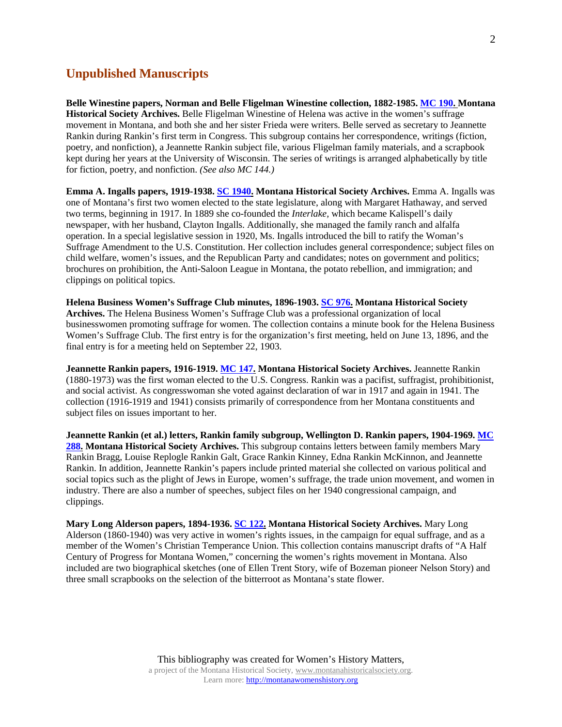#### **Unpublished Manuscripts**

**Belle Winestine papers, Norman and Belle Fligelman Winestine collection, 1882-1985. [MC 190.](http://mtscprod.msl.mt.gov/uhtbin/cgisirsi/x/0/0/5?user_id=MT-HISTWEB&password=&library=MT-HIST&match_on=KEYWORD&sort_by=-PBYR&srchfield1=GENERAL&searchdata1=MC%20190) Montana Historical Society Archives.** Belle Fligelman Winestine of Helena was active in the women's suffrage movement in Montana, and both she and her sister Frieda were writers. Belle served as secretary to Jeannette Rankin during Rankin's first term in Congress. This subgroup contains her correspondence, writings (fiction, poetry, and nonfiction), a Jeannette Rankin subject file, various Fligelman family materials, and a scrapbook kept during her years at the University of Wisconsin. The series of writings is arranged alphabetically by title for fiction, poetry, and nonfiction. *(See also MC 144.)*

**Emma A. Ingalls papers, 1919-1938[. SC 1940.](http://mtscprod.msl.mt.gov/uhtbin/cgisirsi/x/0/0/5?user_id=MT-HISTWEB&password=&library=MT-HIST&match_on=KEYWORD&sort_by=-PBYR&srchfield1=GENERAL&searchdata1=SC%201940) Montana Historical Society Archives.** Emma A. Ingalls was one of Montana's first two women elected to the state legislature, along with Margaret Hathaway, and served two terms, beginning in 1917. In 1889 she co-founded the *Interlake,* which became Kalispell's daily newspaper, with her husband, Clayton Ingalls. Additionally, she managed the family ranch and alfalfa operation. In a special legislative session in 1920, Ms. Ingalls introduced the bill to ratify the Woman's Suffrage Amendment to the U.S. Constitution. Her collection includes general correspondence; subject files on child welfare, women's issues, and the Republican Party and candidates; notes on government and politics; brochures on prohibition, the Anti-Saloon League in Montana, the potato rebellion, and immigration; and clippings on political topics.

**Helena Business Women's Suffrage Club minutes, 1896-1903. [SC 976.](http://mtscprod.msl.mt.gov/uhtbin/cgisirsi/x/0/0/5?user_id=MT-HISTWEB&password=&library=MT-HIST&match_on=KEYWORD&sort_by=-PBYR&srchfield1=GENERAL&searchdata1=SC%20976) Montana Historical Society Archives.** The Helena Business Women's Suffrage Club was a professional organization of local businesswomen promoting suffrage for women. The collection contains a minute book for the Helena Business Women's Suffrage Club. The first entry is for the organization's first meeting, held on June 13, 1896, and the final entry is for a meeting held on September 22, 1903.

**Jeannette Rankin papers, 1916-1919. [MC 147.](http://mtscprod.msl.mt.gov/uhtbin/cgisirsi/x/0/0/5?user_id=MT-HISTWEB&password=&library=MT-HIST&match_on=KEYWORD&sort_by=-PBYR&srchfield1=GENERAL&searchdata1=MC%20147) Montana Historical Society Archives.** Jeannette Rankin (1880-1973) was the first woman elected to the U.S. Congress. Rankin was a pacifist, suffragist, prohibitionist, and social activist. As congresswoman she voted against declaration of war in 1917 and again in 1941. The collection (1916-1919 and 1941) consists primarily of correspondence from her Montana constituents and subject files on issues important to her.

**Jeannette Rankin (et al.) letters, Rankin family subgroup, Wellington D. Rankin papers, 1904-1969. [MC](http://mtscprod.msl.mt.gov/uhtbin/cgisirsi/x/0/0/5?user_id=MT-HISTWEB&password=&library=MT-HIST&match_on=KEYWORD&sort_by=-PBYR&srchfield1=GENERAL&searchdata1=MC%20288)  [288.](http://mtscprod.msl.mt.gov/uhtbin/cgisirsi/x/0/0/5?user_id=MT-HISTWEB&password=&library=MT-HIST&match_on=KEYWORD&sort_by=-PBYR&srchfield1=GENERAL&searchdata1=MC%20288) Montana Historical Society Archives.** This subgroup contains letters between family members Mary Rankin Bragg, Louise Replogle Rankin Galt, Grace Rankin Kinney, Edna Rankin McKinnon, and Jeannette Rankin. In addition, Jeannette Rankin's papers include printed material she collected on various political and social topics such as the plight of Jews in Europe, women's suffrage, the trade union movement, and women in industry. There are also a number of speeches, subject files on her 1940 congressional campaign, and clippings.

**Mary Long Alderson papers, 1894-1936. [SC 122.](http://mtscprod.msl.mt.gov/uhtbin/cgisirsi/x/0/0/5?user_id=MT-HISTWEB&password=&library=MT-HIST&match_on=KEYWORD&sort_by=-PBYR&srchfield1=GENERAL&searchdata1=SC%20122) Montana Historical Society Archives.** Mary Long Alderson (1860-1940) was very active in women's rights issues, in the campaign for equal suffrage, and as a member of the Women's Christian Temperance Union. This collection contains manuscript drafts of "A Half Century of Progress for Montana Women," concerning the women's rights movement in Montana. Also included are two biographical sketches (one of Ellen Trent Story, wife of Bozeman pioneer Nelson Story) and three small scrapbooks on the selection of the bitterroot as Montana's state flower.